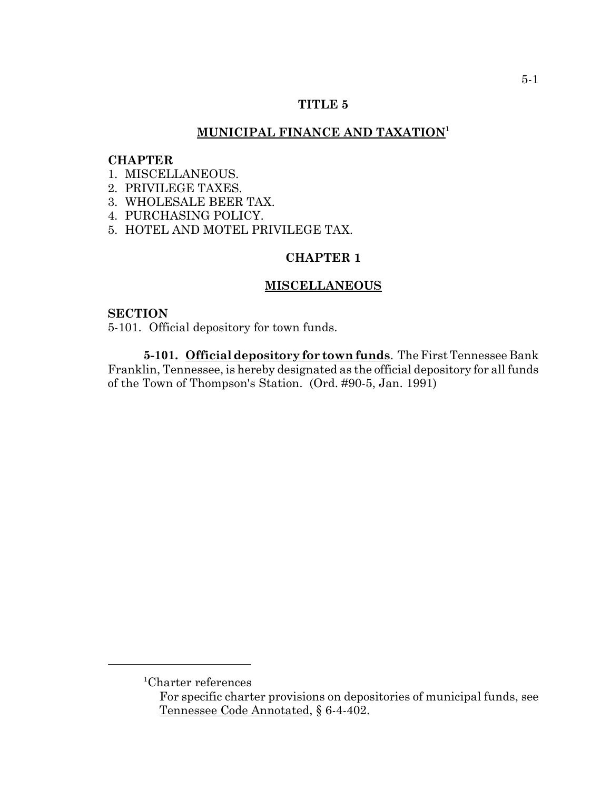# **TITLE 5**

# **MUNICIPAL FINANCE AND TAXATION1**

### **CHAPTER**

- 1. MISCELLANEOUS.
- 2. PRIVILEGE TAXES.
- 3. WHOLESALE BEER TAX.
- 4. PURCHASING POLICY.
- 5. HOTEL AND MOTEL PRIVILEGE TAX.

# **CHAPTER 1**

# **MISCELLANEOUS**

#### **SECTION**

5-101. Official depository for town funds.

**5-101. Official depository for town funds**. The First Tennessee Bank Franklin, Tennessee, is hereby designated as the official depository for all funds of the Town of Thompson's Station. (Ord. #90-5, Jan. 1991)

<sup>1</sup> Charter references

For specific charter provisions on depositories of municipal funds, see Tennessee Code Annotated, § 6-4-402.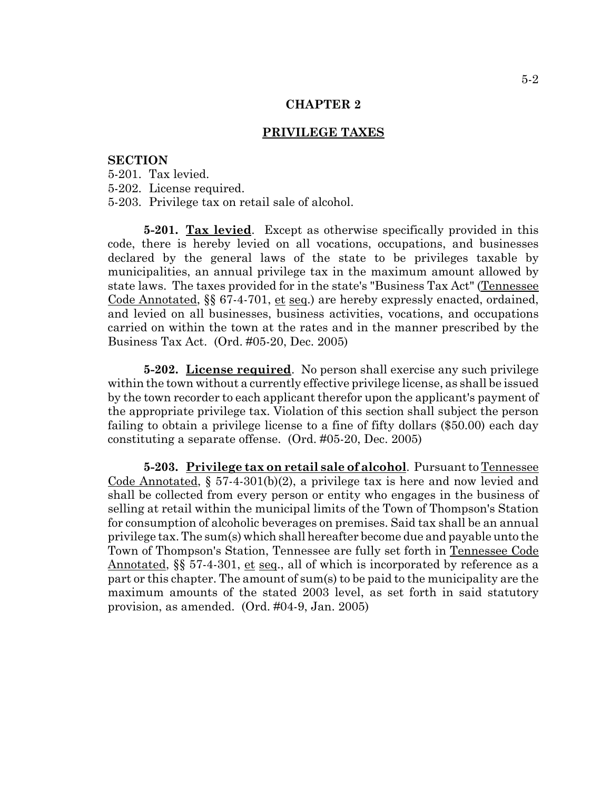# **PRIVILEGE TAXES**

#### **SECTION**

- 5-201. Tax levied.
- 5-202. License required.
- 5-203. Privilege tax on retail sale of alcohol.

**5-201. Tax levied**. Except as otherwise specifically provided in this code, there is hereby levied on all vocations, occupations, and businesses declared by the general laws of the state to be privileges taxable by municipalities, an annual privilege tax in the maximum amount allowed by state laws. The taxes provided for in the state's "Business Tax Act" (Tennessee Code Annotated,  $\S$  67-4-701, et seq.) are hereby expressly enacted, ordained, and levied on all businesses, business activities, vocations, and occupations carried on within the town at the rates and in the manner prescribed by the Business Tax Act. (Ord. #05-20, Dec. 2005)

**5-202.** License required. No person shall exercise any such privilege within the town without a currently effective privilege license, as shall be issued by the town recorder to each applicant therefor upon the applicant's payment of the appropriate privilege tax. Violation of this section shall subject the person failing to obtain a privilege license to a fine of fifty dollars (\$50.00) each day constituting a separate offense. (Ord. #05-20, Dec. 2005)

**5-203. Privilege tax on retail sale of alcohol**. Pursuant to Tennessee Code Annotated, § 57-4-301(b)(2), a privilege tax is here and now levied and shall be collected from every person or entity who engages in the business of selling at retail within the municipal limits of the Town of Thompson's Station for consumption of alcoholic beverages on premises. Said tax shall be an annual privilege tax. The sum(s) which shall hereafter become due and payable unto the Town of Thompson's Station, Tennessee are fully set forth in Tennessee Code Annotated,  $\S$  57-4-301, et seq., all of which is incorporated by reference as a part or this chapter. The amount of sum(s) to be paid to the municipality are the maximum amounts of the stated 2003 level, as set forth in said statutory provision, as amended. (Ord. #04-9, Jan. 2005)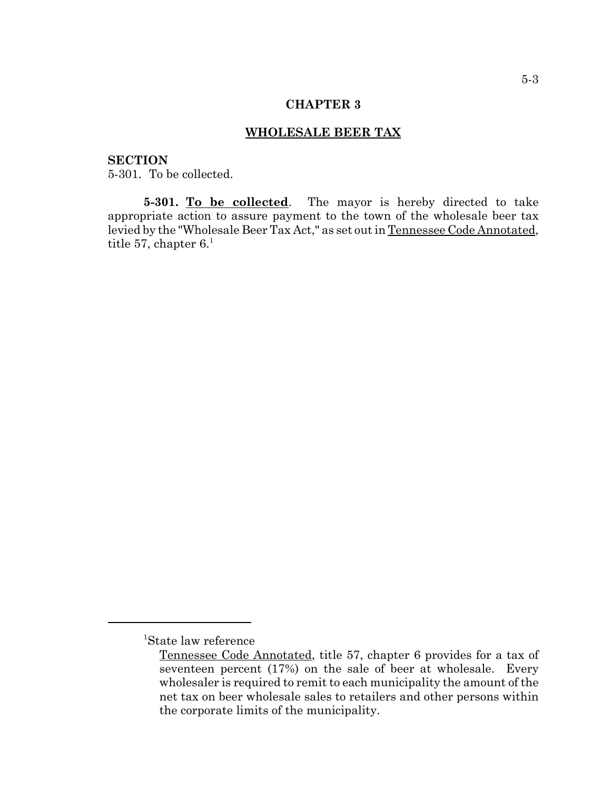### **WHOLESALE BEER TAX**

# **SECTION**

5-301. To be collected.

5-301. To be collected. The mayor is hereby directed to take appropriate action to assure payment to the town of the wholesale beer tax levied by the "Wholesale Beer Tax Act," as set out in Tennessee Code Annotated, title 57, chapter  $6<sup>1</sup>$ 

<sup>1</sup> State law reference

Tennessee Code Annotated, title 57, chapter 6 provides for a tax of seventeen percent (17%) on the sale of beer at wholesale. Every wholesaler is required to remit to each municipality the amount of the net tax on beer wholesale sales to retailers and other persons within the corporate limits of the municipality.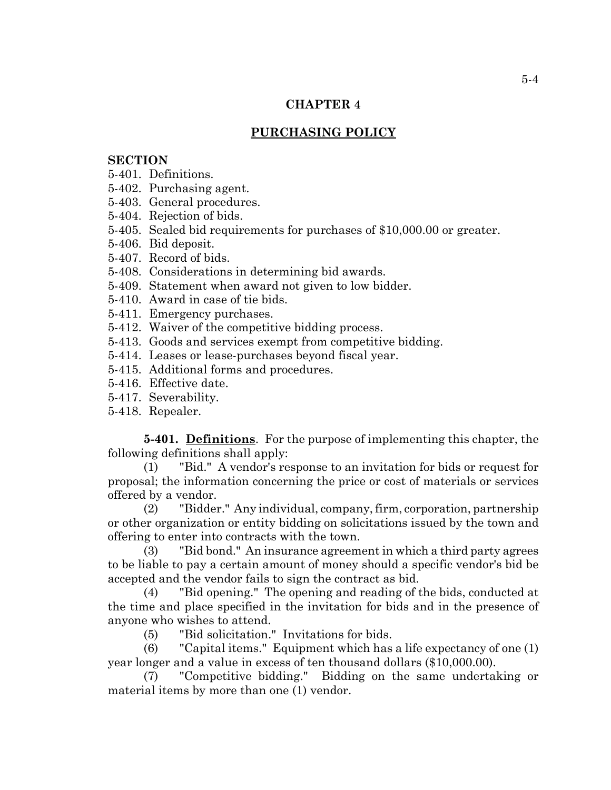# **PURCHASING POLICY**

# **SECTION**

- 5-401. Definitions.
- 5-402. Purchasing agent.
- 5-403. General procedures.
- 5-404. Rejection of bids.
- 5-405. Sealed bid requirements for purchases of \$10,000.00 or greater.
- 5-406. Bid deposit.
- 5-407. Record of bids.
- 5-408. Considerations in determining bid awards.
- 5-409. Statement when award not given to low bidder.
- 5-410. Award in case of tie bids.
- 5-411. Emergency purchases.
- 5-412. Waiver of the competitive bidding process.
- 5-413. Goods and services exempt from competitive bidding.
- 5-414. Leases or lease-purchases beyond fiscal year.
- 5-415. Additional forms and procedures.
- 5-416. Effective date.
- 5-417. Severability.
- 5-418. Repealer.

**5-401. Definitions**. For the purpose of implementing this chapter, the following definitions shall apply:

(1) "Bid." A vendor's response to an invitation for bids or request for proposal; the information concerning the price or cost of materials or services offered by a vendor.

(2) "Bidder." Any individual, company, firm, corporation, partnership or other organization or entity bidding on solicitations issued by the town and offering to enter into contracts with the town.

(3) "Bid bond." An insurance agreement in which a third party agrees to be liable to pay a certain amount of money should a specific vendor's bid be accepted and the vendor fails to sign the contract as bid.

(4) "Bid opening." The opening and reading of the bids, conducted at the time and place specified in the invitation for bids and in the presence of anyone who wishes to attend.

(5) "Bid solicitation." Invitations for bids.

(6) "Capital items." Equipment which has a life expectancy of one (1) year longer and a value in excess of ten thousand dollars (\$10,000.00).

(7) "Competitive bidding." Bidding on the same undertaking or material items by more than one (1) vendor.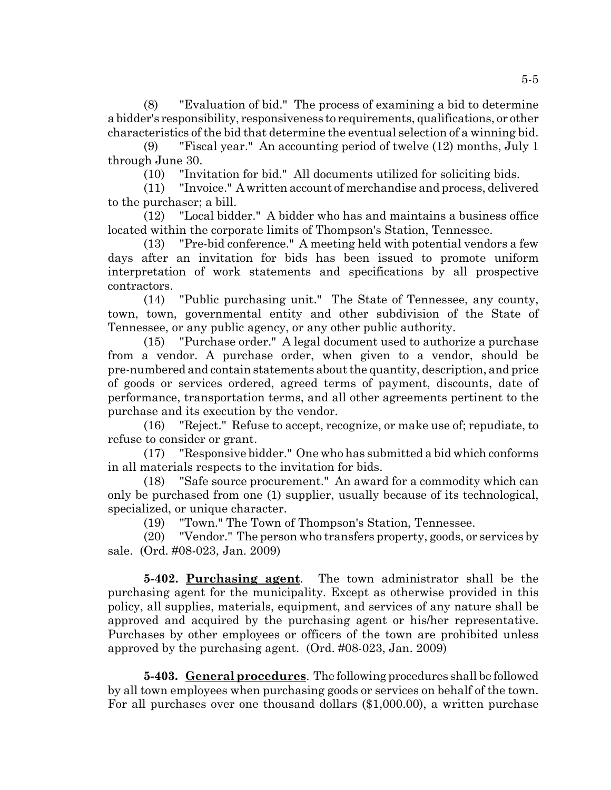(8) "Evaluation of bid." The process of examining a bid to determine a bidder's responsibility, responsiveness to requirements, qualifications, or other characteristics of the bid that determine the eventual selection of a winning bid.

(9) "Fiscal year." An accounting period of twelve (12) months, July 1 through June 30.

(10) "Invitation for bid." All documents utilized for soliciting bids.

(11) "Invoice." A written account of merchandise and process, delivered to the purchaser; a bill.

(12) "Local bidder." A bidder who has and maintains a business office located within the corporate limits of Thompson's Station, Tennessee.

(13) "Pre-bid conference." A meeting held with potential vendors a few days after an invitation for bids has been issued to promote uniform interpretation of work statements and specifications by all prospective contractors.

(14) "Public purchasing unit." The State of Tennessee, any county, town, town, governmental entity and other subdivision of the State of Tennessee, or any public agency, or any other public authority.

(15) "Purchase order." A legal document used to authorize a purchase from a vendor. A purchase order, when given to a vendor, should be pre-numbered and contain statements about the quantity, description, and price of goods or services ordered, agreed terms of payment, discounts, date of performance, transportation terms, and all other agreements pertinent to the purchase and its execution by the vendor.

(16) "Reject." Refuse to accept, recognize, or make use of; repudiate, to refuse to consider or grant.

(17) "Responsive bidder." One who has submitted a bid which conforms in all materials respects to the invitation for bids.

(18) "Safe source procurement." An award for a commodity which can only be purchased from one (1) supplier, usually because of its technological, specialized, or unique character.

(19) "Town." The Town of Thompson's Station, Tennessee.

(20) "Vendor." The person who transfers property, goods, or services by sale. (Ord. #08-023, Jan. 2009)

**5-402. Purchasing agent**. The town administrator shall be the purchasing agent for the municipality. Except as otherwise provided in this policy, all supplies, materials, equipment, and services of any nature shall be approved and acquired by the purchasing agent or his/her representative. Purchases by other employees or officers of the town are prohibited unless approved by the purchasing agent. (Ord. #08-023, Jan. 2009)

**5-403. General procedures**. The following procedures shall be followed by all town employees when purchasing goods or services on behalf of the town. For all purchases over one thousand dollars (\$1,000.00), a written purchase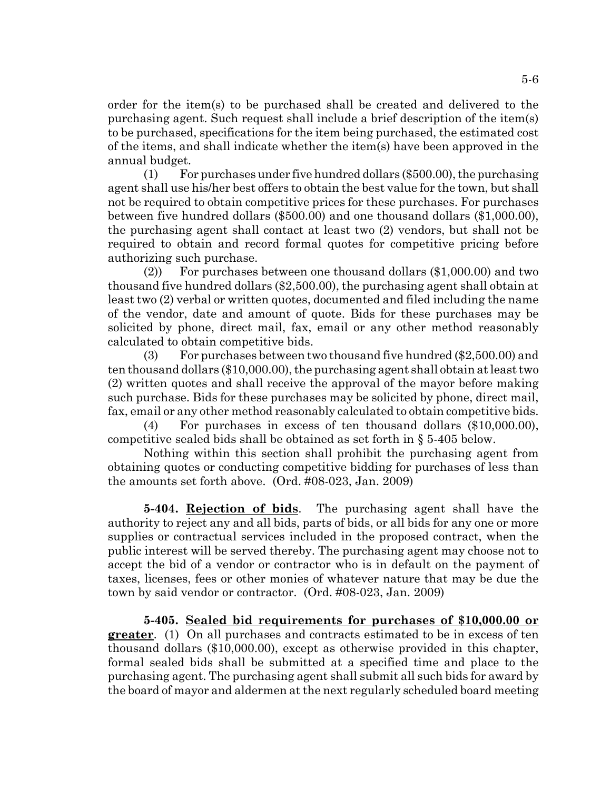order for the item(s) to be purchased shall be created and delivered to the purchasing agent. Such request shall include a brief description of the item(s) to be purchased, specifications for the item being purchased, the estimated cost of the items, and shall indicate whether the item(s) have been approved in the annual budget.

 $(1)$  For purchases under five hundred dollars (\$500.00), the purchasing agent shall use his/her best offers to obtain the best value for the town, but shall not be required to obtain competitive prices for these purchases. For purchases between five hundred dollars (\$500.00) and one thousand dollars (\$1,000.00), the purchasing agent shall contact at least two (2) vendors, but shall not be required to obtain and record formal quotes for competitive pricing before authorizing such purchase.

(2)) For purchases between one thousand dollars (\$1,000.00) and two thousand five hundred dollars (\$2,500.00), the purchasing agent shall obtain at least two (2) verbal or written quotes, documented and filed including the name of the vendor, date and amount of quote. Bids for these purchases may be solicited by phone, direct mail, fax, email or any other method reasonably calculated to obtain competitive bids.

(3) For purchases between two thousand five hundred (\$2,500.00) and ten thousand dollars (\$10,000.00), the purchasing agent shall obtain at least two (2) written quotes and shall receive the approval of the mayor before making such purchase. Bids for these purchases may be solicited by phone, direct mail, fax, email or any other method reasonably calculated to obtain competitive bids.

(4) For purchases in excess of ten thousand dollars (\$10,000.00), competitive sealed bids shall be obtained as set forth in § 5-405 below.

Nothing within this section shall prohibit the purchasing agent from obtaining quotes or conducting competitive bidding for purchases of less than the amounts set forth above. (Ord. #08-023, Jan. 2009)

**5-404. Rejection of bids**. The purchasing agent shall have the authority to reject any and all bids, parts of bids, or all bids for any one or more supplies or contractual services included in the proposed contract, when the public interest will be served thereby. The purchasing agent may choose not to accept the bid of a vendor or contractor who is in default on the payment of taxes, licenses, fees or other monies of whatever nature that may be due the town by said vendor or contractor. (Ord. #08-023, Jan. 2009)

**5-405. Sealed bid requirements for purchases of \$10,000.00 or greater**. (1) On all purchases and contracts estimated to be in excess of ten thousand dollars (\$10,000.00), except as otherwise provided in this chapter, formal sealed bids shall be submitted at a specified time and place to the purchasing agent. The purchasing agent shall submit all such bids for award by the board of mayor and aldermen at the next regularly scheduled board meeting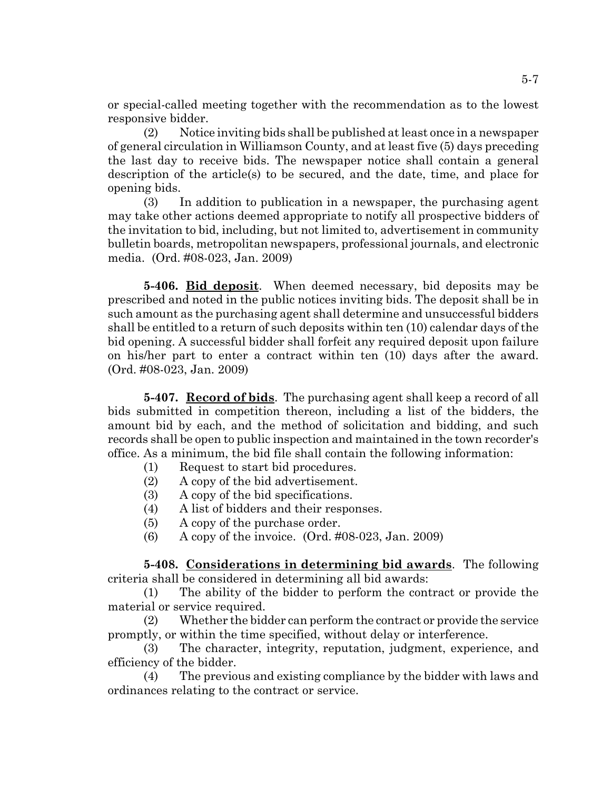or special-called meeting together with the recommendation as to the lowest responsive bidder.

(2) Notice inviting bids shall be published at least once in a newspaper of general circulation in Williamson County, and at least five (5) days preceding the last day to receive bids. The newspaper notice shall contain a general description of the article(s) to be secured, and the date, time, and place for opening bids.

(3) In addition to publication in a newspaper, the purchasing agent may take other actions deemed appropriate to notify all prospective bidders of the invitation to bid, including, but not limited to, advertisement in community bulletin boards, metropolitan newspapers, professional journals, and electronic media. (Ord. #08-023, Jan. 2009)

**5-406. Bid deposit**. When deemed necessary, bid deposits may be prescribed and noted in the public notices inviting bids. The deposit shall be in such amount as the purchasing agent shall determine and unsuccessful bidders shall be entitled to a return of such deposits within ten (10) calendar days of the bid opening. A successful bidder shall forfeit any required deposit upon failure on his/her part to enter a contract within ten (10) days after the award. (Ord. #08-023, Jan. 2009)

**5-407. Record of bids**. The purchasing agent shall keep a record of all bids submitted in competition thereon, including a list of the bidders, the amount bid by each, and the method of solicitation and bidding, and such records shall be open to public inspection and maintained in the town recorder's office. As a minimum, the bid file shall contain the following information:

- (1) Request to start bid procedures.
- (2) A copy of the bid advertisement.
- (3) A copy of the bid specifications.
- (4) A list of bidders and their responses.
- (5) A copy of the purchase order.
- (6) A copy of the invoice. (Ord. #08-023, Jan. 2009)

**5-408. Considerations in determining bid awards**. The following criteria shall be considered in determining all bid awards:

(1) The ability of the bidder to perform the contract or provide the material or service required.

(2) Whether the bidder can perform the contract or provide the service promptly, or within the time specified, without delay or interference.

(3) The character, integrity, reputation, judgment, experience, and efficiency of the bidder.

(4) The previous and existing compliance by the bidder with laws and ordinances relating to the contract or service.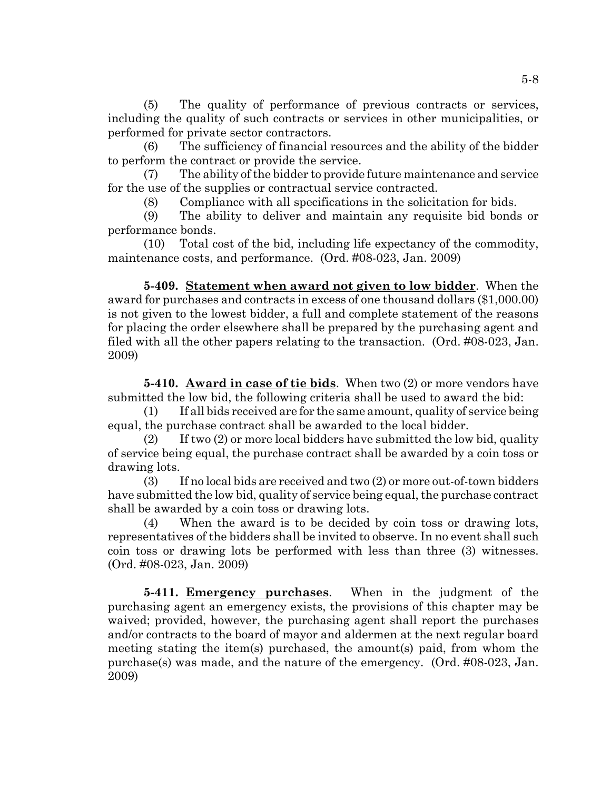(5) The quality of performance of previous contracts or services, including the quality of such contracts or services in other municipalities, or performed for private sector contractors.

(6) The sufficiency of financial resources and the ability of the bidder to perform the contract or provide the service.

(7) The ability of the bidder to provide future maintenance and service for the use of the supplies or contractual service contracted.

(8) Compliance with all specifications in the solicitation for bids.

(9) The ability to deliver and maintain any requisite bid bonds or performance bonds.

(10) Total cost of the bid, including life expectancy of the commodity, maintenance costs, and performance. (Ord. #08-023, Jan. 2009)

**5-409. Statement when award not given to low bidder**. When the award for purchases and contracts in excess of one thousand dollars (\$1,000.00) is not given to the lowest bidder, a full and complete statement of the reasons for placing the order elsewhere shall be prepared by the purchasing agent and filed with all the other papers relating to the transaction. (Ord. #08-023, Jan. 2009)

**5-410. Award in case of tie bids**. When two (2) or more vendors have submitted the low bid, the following criteria shall be used to award the bid:

(1) If all bids received are for the same amount, quality of service being equal, the purchase contract shall be awarded to the local bidder.

 $(2)$  If two  $(2)$  or more local bidders have submitted the low bid, quality of service being equal, the purchase contract shall be awarded by a coin toss or drawing lots.

(3) If no local bids are received and two (2) or more out-of-town bidders have submitted the low bid, quality of service being equal, the purchase contract shall be awarded by a coin toss or drawing lots.

(4) When the award is to be decided by coin toss or drawing lots, representatives of the bidders shall be invited to observe. In no event shall such coin toss or drawing lots be performed with less than three (3) witnesses. (Ord. #08-023, Jan. 2009)

**5-411. Emergency purchases**. When in the judgment of the purchasing agent an emergency exists, the provisions of this chapter may be waived; provided, however, the purchasing agent shall report the purchases and/or contracts to the board of mayor and aldermen at the next regular board meeting stating the item(s) purchased, the amount(s) paid, from whom the purchase(s) was made, and the nature of the emergency. (Ord. #08-023, Jan. 2009)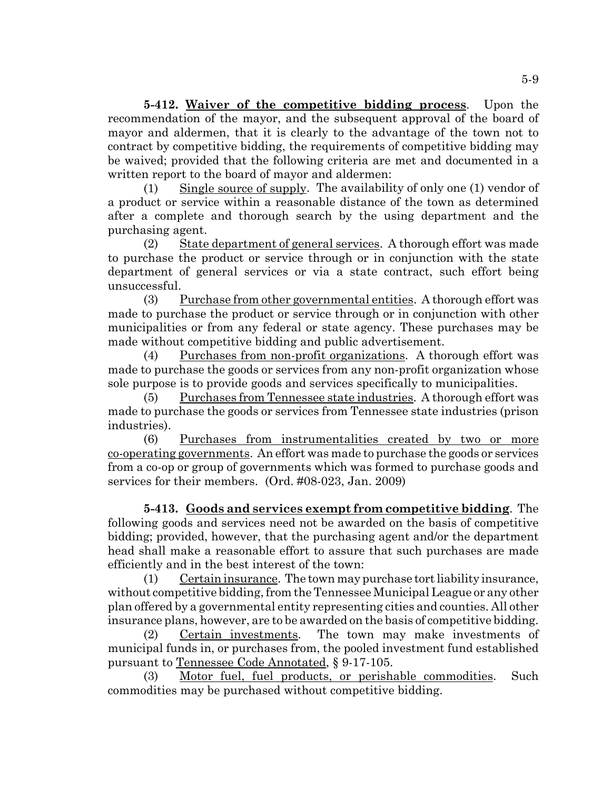**5-412. Waiver of the competitive bidding process**. Upon the recommendation of the mayor, and the subsequent approval of the board of mayor and aldermen, that it is clearly to the advantage of the town not to contract by competitive bidding, the requirements of competitive bidding may be waived; provided that the following criteria are met and documented in a written report to the board of mayor and aldermen:

(1) Single source of supply. The availability of only one (1) vendor of a product or service within a reasonable distance of the town as determined after a complete and thorough search by the using department and the purchasing agent.

(2) State department of general services. A thorough effort was made to purchase the product or service through or in conjunction with the state department of general services or via a state contract, such effort being unsuccessful.

(3) Purchase from other governmental entities. A thorough effort was made to purchase the product or service through or in conjunction with other municipalities or from any federal or state agency. These purchases may be made without competitive bidding and public advertisement.

(4) Purchases from non-profit organizations. A thorough effort was made to purchase the goods or services from any non-profit organization whose sole purpose is to provide goods and services specifically to municipalities.

(5) Purchases from Tennessee state industries. A thorough effort was made to purchase the goods or services from Tennessee state industries (prison industries).

(6) Purchases from instrumentalities created by two or more co-operating governments. An effort was made to purchase the goods or services from a co-op or group of governments which was formed to purchase goods and services for their members. (Ord. #08-023, Jan. 2009)

**5-413. Goods and services exempt from competitive bidding**. The following goods and services need not be awarded on the basis of competitive bidding; provided, however, that the purchasing agent and/or the department head shall make a reasonable effort to assure that such purchases are made efficiently and in the best interest of the town:

(1) Certain insurance. The town may purchase tort liability insurance, without competitive bidding, from the Tennessee Municipal League or any other plan offered by a governmental entity representing cities and counties. All other insurance plans, however, are to be awarded on the basis of competitive bidding.

(2) Certain investments. The town may make investments of municipal funds in, or purchases from, the pooled investment fund established pursuant to Tennessee Code Annotated, § 9-17-105.

(3) Motor fuel, fuel products, or perishable commodities. Such commodities may be purchased without competitive bidding.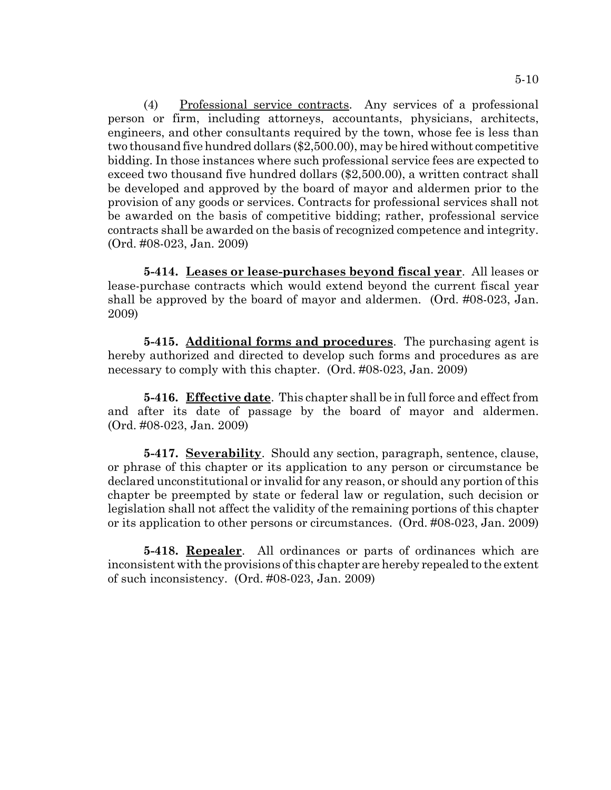(4) Professional service contracts. Any services of a professional person or firm, including attorneys, accountants, physicians, architects, engineers, and other consultants required by the town, whose fee is less than two thousand five hundred dollars (\$2,500.00), may be hired without competitive bidding. In those instances where such professional service fees are expected to exceed two thousand five hundred dollars (\$2,500.00), a written contract shall be developed and approved by the board of mayor and aldermen prior to the provision of any goods or services. Contracts for professional services shall not be awarded on the basis of competitive bidding; rather, professional service contracts shall be awarded on the basis of recognized competence and integrity. (Ord. #08-023, Jan. 2009)

**5-414. Leases or lease-purchases beyond fiscal year**. All leases or lease-purchase contracts which would extend beyond the current fiscal year shall be approved by the board of mayor and aldermen. (Ord. #08-023, Jan. 2009)

**5-415. Additional forms and procedures**. The purchasing agent is hereby authorized and directed to develop such forms and procedures as are necessary to comply with this chapter. (Ord. #08-023, Jan. 2009)

**5-416. Effective date**. This chapter shall be in full force and effect from and after its date of passage by the board of mayor and aldermen. (Ord. #08-023, Jan. 2009)

**5-417. Severability**. Should any section, paragraph, sentence, clause, or phrase of this chapter or its application to any person or circumstance be declared unconstitutional or invalid for any reason, or should any portion of this chapter be preempted by state or federal law or regulation, such decision or legislation shall not affect the validity of the remaining portions of this chapter or its application to other persons or circumstances. (Ord. #08-023, Jan. 2009)

**5-418. Repealer**. All ordinances or parts of ordinances which are inconsistent with the provisions of this chapter are hereby repealed to the extent of such inconsistency. (Ord. #08-023, Jan. 2009)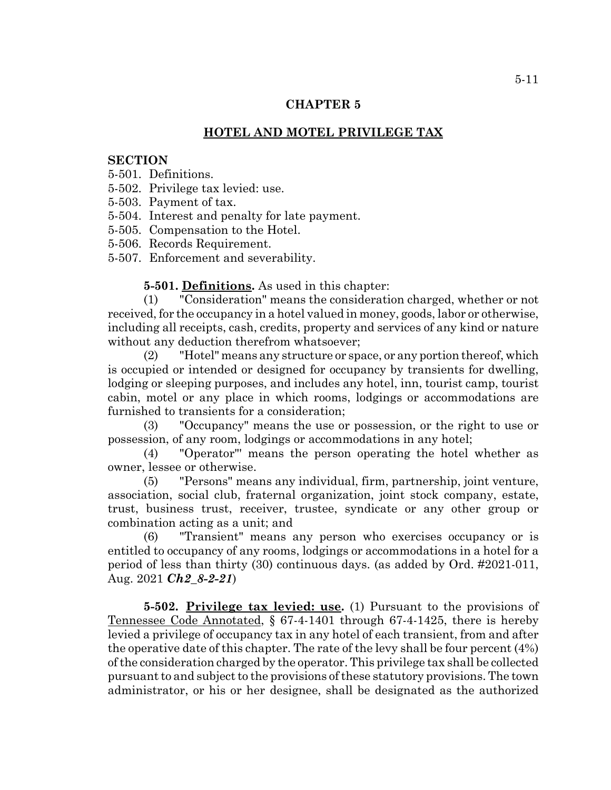# **HOTEL AND MOTEL PRIVILEGE TAX**

### **SECTION**

5-501. Definitions.

5-502. Privilege tax levied: use.

- 5-503. Payment of tax.
- 5-504. Interest and penalty for late payment.
- 5-505. Compensation to the Hotel.
- 5-506. Records Requirement.
- 5-507. Enforcement and severability.

#### **5-501. Definitions.** As used in this chapter:

(1) "Consideration" means the consideration charged, whether or not received, for the occupancy in a hotel valued in money, goods, labor or otherwise, including all receipts, cash, credits, property and services of any kind or nature without any deduction therefrom whatsoever;

(2) "Hotel" means any structure or space, or any portion thereof, which is occupied or intended or designed for occupancy by transients for dwelling, lodging or sleeping purposes, and includes any hotel, inn, tourist camp, tourist cabin, motel or any place in which rooms, lodgings or accommodations are furnished to transients for a consideration;

(3) "Occupancy" means the use or possession, or the right to use or possession, of any room, lodgings or accommodations in any hotel;

(4) "Operator"' means the person operating the hotel whether as owner, lessee or otherwise.

(5) "Persons" means any individual, firm, partnership, joint venture, association, social club, fraternal organization, joint stock company, estate, trust, business trust, receiver, trustee, syndicate or any other group or combination acting as a unit; and

(6) "Transient" means any person who exercises occupancy or is entitled to occupancy of any rooms, lodgings or accommodations in a hotel for a period of less than thirty (30) continuous days. (as added by Ord. #2021-011, Aug. 2021 *Ch2\_8-2-21*)

**5-502. Privilege tax levied: use.** (1) Pursuant to the provisions of Tennessee Code Annotated, § 67-4-1401 through 67-4-1425, there is hereby levied a privilege of occupancy tax in any hotel of each transient, from and after the operative date of this chapter. The rate of the levy shall be four percent (4%) of the consideration charged by the operator. This privilege tax shall be collected pursuant to and subject to the provisions of these statutory provisions. The town administrator, or his or her designee, shall be designated as the authorized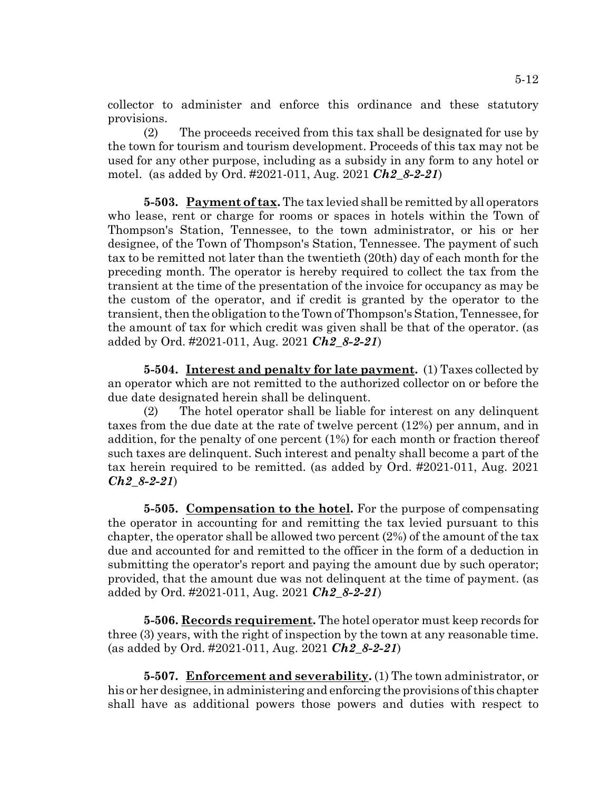collector to administer and enforce this ordinance and these statutory provisions.

(2) The proceeds received from this tax shall be designated for use by the town for tourism and tourism development. Proceeds of this tax may not be used for any other purpose, including as a subsidy in any form to any hotel or motel. (as added by Ord. #2021-011, Aug. 2021 *Ch2\_8-2-21*)

**5-503. Payment of tax.** The tax levied shall be remitted by all operators who lease, rent or charge for rooms or spaces in hotels within the Town of Thompson's Station, Tennessee, to the town administrator, or his or her designee, of the Town of Thompson's Station, Tennessee. The payment of such tax to be remitted not later than the twentieth (20th) day of each month for the preceding month. The operator is hereby required to collect the tax from the transient at the time of the presentation of the invoice for occupancy as may be the custom of the operator, and if credit is granted by the operator to the transient, then the obligation to the Town of Thompson's Station, Tennessee, for the amount of tax for which credit was given shall be that of the operator. (as added by Ord. #2021-011, Aug. 2021 *Ch2\_8-2-21*)

**5-504. Interest and penalty for late payment.** (1) Taxes collected by an operator which are not remitted to the authorized collector on or before the due date designated herein shall be delinquent.

(2) The hotel operator shall be liable for interest on any delinquent taxes from the due date at the rate of twelve percent (12%) per annum, and in addition, for the penalty of one percent (1%) for each month or fraction thereof such taxes are delinquent. Such interest and penalty shall become a part of the tax herein required to be remitted. (as added by Ord. #2021-011, Aug. 2021 *Ch2\_8-2-21*)

**5-505. Compensation to the hotel.** For the purpose of compensating the operator in accounting for and remitting the tax levied pursuant to this chapter, the operator shall be allowed two percent (2%) of the amount of the tax due and accounted for and remitted to the officer in the form of a deduction in submitting the operator's report and paying the amount due by such operator; provided, that the amount due was not delinquent at the time of payment. (as added by Ord. #2021-011, Aug. 2021 *Ch2\_8-2-21*)

**5-506. Records requirement.** The hotel operator must keep records for three (3) years, with the right of inspection by the town at any reasonable time. (as added by Ord. #2021-011, Aug. 2021 *Ch2\_8-2-21*)

**5-507. Enforcement and severability.** (1) The town administrator, or his or her designee, in administering and enforcing the provisions of this chapter shall have as additional powers those powers and duties with respect to